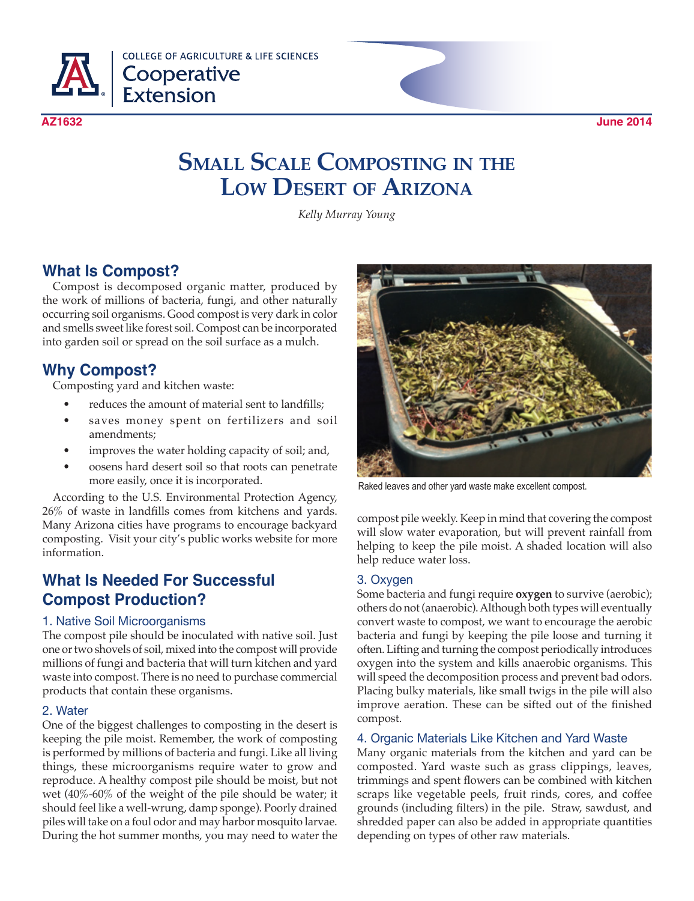

**COLLEGE OF AGRICULTURE & LIFE SCIENCES** Cooperative<br>Extension

# **Small Scale Composting in the Low Desert of Arizona**

*Kelly Murray Young*

### **What Is Compost?**

Compost is decomposed organic matter, produced by the work of millions of bacteria, fungi, and other naturally occurring soil organisms. Good compost is very dark in color and smells sweet like forest soil. Compost can be incorporated into garden soil or spread on the soil surface as a mulch.

## **Why Compost?**

Composting yard and kitchen waste:

- reduces the amount of material sent to landfills;
- saves money spent on fertilizers and soil amendments;
- improves the water holding capacity of soil; and,
- oosens hard desert soil so that roots can penetrate more easily, once it is incorporated.

According to the U.S. Environmental Protection Agency, 26% of waste in landfills comes from kitchens and yards. Many Arizona cities have programs to encourage backyard composting. Visit your city's public works website for more information.

### **What Is Needed For Successful Compost Production?**

#### 1. Native Soil Microorganisms

The compost pile should be inoculated with native soil. Just one or two shovels of soil, mixed into the compost will provide millions of fungi and bacteria that will turn kitchen and yard waste into compost. There is no need to purchase commercial products that contain these organisms.

#### 2. Water

One of the biggest challenges to composting in the desert is keeping the pile moist. Remember, the work of composting is performed by millions of bacteria and fungi. Like all living things, these microorganisms require water to grow and reproduce. A healthy compost pile should be moist, but not wet (40%-60% of the weight of the pile should be water; it should feel like a well-wrung, damp sponge). Poorly drained piles will take on a foul odor and may harbor mosquito larvae. During the hot summer months, you may need to water the



Raked leaves and other yard waste make excellent compost.

compost pile weekly. Keep in mind that covering the compost will slow water evaporation, but will prevent rainfall from helping to keep the pile moist. A shaded location will also help reduce water loss.

#### 3. Oxygen

Some bacteria and fungi require **oxygen** to survive (aerobic); others do not (anaerobic). Although both types will eventually convert waste to compost, we want to encourage the aerobic bacteria and fungi by keeping the pile loose and turning it often. Lifting and turning the compost periodically introduces oxygen into the system and kills anaerobic organisms. This will speed the decomposition process and prevent bad odors. Placing bulky materials, like small twigs in the pile will also improve aeration. These can be sifted out of the finished compost.

#### 4. Organic Materials Like Kitchen and Yard Waste

Many organic materials from the kitchen and yard can be composted. Yard waste such as grass clippings, leaves, trimmings and spent flowers can be combined with kitchen scraps like vegetable peels, fruit rinds, cores, and coffee grounds (including filters) in the pile. Straw, sawdust, and shredded paper can also be added in appropriate quantities depending on types of other raw materials.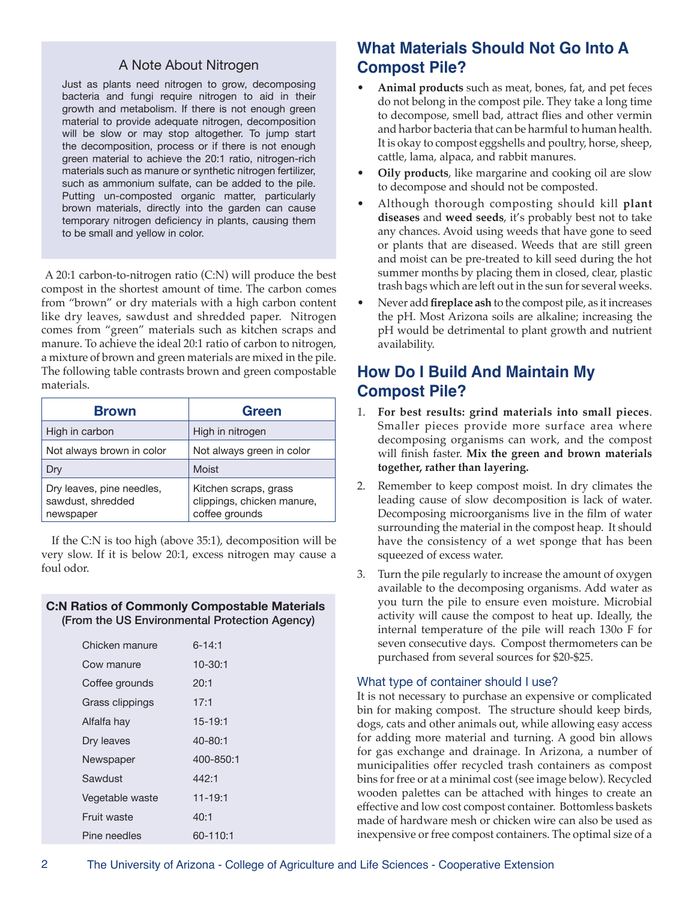#### A Note About Nitrogen

Just as plants need nitrogen to grow, decomposing bacteria and fungi require nitrogen to aid in their growth and metabolism. If there is not enough green material to provide adequate nitrogen, decomposition will be slow or may stop altogether. To jump start the decomposition, process or if there is not enough green material to achieve the 20:1 ratio, nitrogen-rich materials such as manure or synthetic nitrogen fertilizer, such as ammonium sulfate, can be added to the pile. Putting un-composted organic matter, particularly brown materials, directly into the garden can cause temporary nitrogen deficiency in plants, causing them to be small and yellow in color.

A 20:1 carbon-to-nitrogen ratio (C:N) will produce the best compost in the shortest amount of time. The carbon comes from "brown" or dry materials with a high carbon content like dry leaves, sawdust and shredded paper. Nitrogen comes from "green" materials such as kitchen scraps and manure. To achieve the ideal 20:1 ratio of carbon to nitrogen, a mixture of brown and green materials are mixed in the pile. The following table contrasts brown and green compostable materials.

| <b>Brown</b>                                                | <b>Green</b>                                                          |
|-------------------------------------------------------------|-----------------------------------------------------------------------|
| High in carbon                                              | High in nitrogen                                                      |
| Not always brown in color                                   | Not always green in color                                             |
| Dry                                                         | Moist                                                                 |
| Dry leaves, pine needles,<br>sawdust, shredded<br>newspaper | Kitchen scraps, grass<br>clippings, chicken manure,<br>coffee grounds |

If the C:N is too high (above 35:1), decomposition will be very slow. If it is below 20:1, excess nitrogen may cause a foul odor.

#### **C:N Ratios of Commonly Compostable Materials** (From the US Environmental Protection Agency)

| Chicken manure  | $6 - 14:1$  |
|-----------------|-------------|
| Cow manure      | $10 - 30:1$ |
| Coffee grounds  | 20:1        |
| Grass clippings | 17:1        |
| Alfalfa hay     | $15 - 19:1$ |
| Dry leaves      | 40-80:1     |
| Newspaper       | 400-850:1   |
| Sawdust         | 442:1       |
| Vegetable waste | $11 - 19:1$ |
| Fruit waste     | 40:1        |
| Pine needles    | 60-110:1    |

# **What Materials Should Not Go Into A Compost Pile?**

- Animal products such as meat, bones, fat, and pet feces do not belong in the compost pile. They take a long time to decompose, smell bad, attract flies and other vermin and harbor bacteria that can be harmful to human health. It is okay to compost eggshells and poultry, horse, sheep, cattle, lama, alpaca, and rabbit manures.
- **Oily products**, like margarine and cooking oil are slow to decompose and should not be composted.
- Although thorough composting should kill **plant diseases** and **weed seeds**, it's probably best not to take any chances. Avoid using weeds that have gone to seed or plants that are diseased. Weeds that are still green and moist can be pre-treated to kill seed during the hot summer months by placing them in closed, clear, plastic trash bags which are left out in the sun for several weeks.
- Never add **fireplace ash** to the compost pile, as it increases the pH. Most Arizona soils are alkaline; increasing the pH would be detrimental to plant growth and nutrient availability.

### **How Do I Build And Maintain My Compost Pile?**

- 1. **For best results: grind materials into small pieces**. Smaller pieces provide more surface area where decomposing organisms can work, and the compost will finish faster. **Mix the green and brown materials together, rather than layering.**
- 2. Remember to keep compost moist. In dry climates the leading cause of slow decomposition is lack of water. Decomposing microorganisms live in the film of water surrounding the material in the compost heap. It should have the consistency of a wet sponge that has been squeezed of excess water.
- 3. Turn the pile regularly to increase the amount of oxygen available to the decomposing organisms. Add water as you turn the pile to ensure even moisture. Microbial activity will cause the compost to heat up. Ideally, the internal temperature of the pile will reach 130o F for seven consecutive days. Compost thermometers can be purchased from several sources for \$20-\$25.

#### What type of container should I use?

It is not necessary to purchase an expensive or complicated bin for making compost. The structure should keep birds, dogs, cats and other animals out, while allowing easy access for adding more material and turning. A good bin allows for gas exchange and drainage. In Arizona, a number of municipalities offer recycled trash containers as compost bins for free or at a minimal cost (see image below). Recycled wooden palettes can be attached with hinges to create an effective and low cost compost container. Bottomless baskets made of hardware mesh or chicken wire can also be used as inexpensive or free compost containers. The optimal size of a